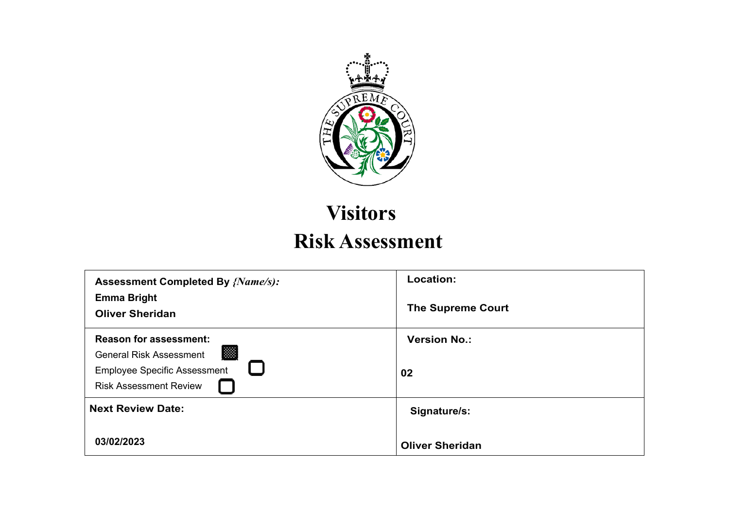

## **Visitors Risk Assessment**

| <b>Assessment Completed By {Name/s):</b><br><b>Emma Bright</b><br><b>Oliver Sheridan</b>                                                     | Location:<br><b>The Supreme Court</b>  |
|----------------------------------------------------------------------------------------------------------------------------------------------|----------------------------------------|
| <b>Reason for assessment:</b><br>图<br><b>General Risk Assessment</b><br><b>Employee Specific Assessment</b><br><b>Risk Assessment Review</b> | <b>Version No.:</b><br>02              |
| <b>Next Review Date:</b><br>03/02/2023                                                                                                       | Signature/s:<br><b>Oliver Sheridan</b> |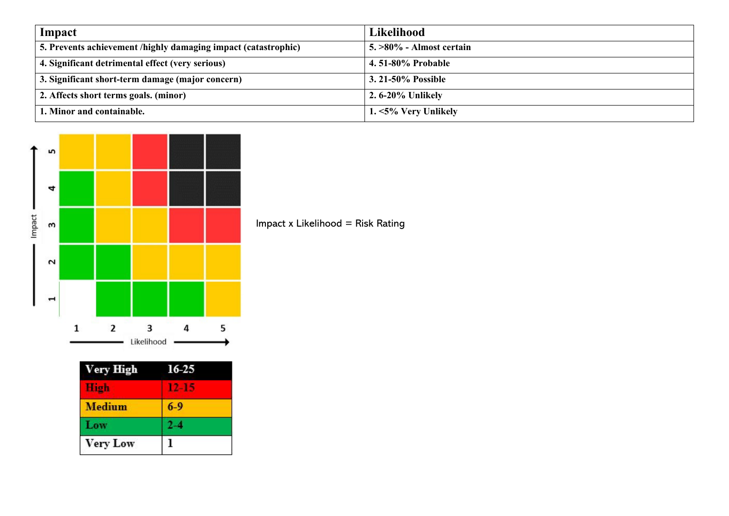| Impact                                                         | Likelihood                  |
|----------------------------------------------------------------|-----------------------------|
| 5. Prevents achievement /highly damaging impact (catastrophic) | $5. >80\%$ - Almost certain |
| 4. Significant detrimental effect (very serious)               | 4.51-80% Probable           |
| 3. Significant short-term damage (major concern)               | 3. 21-50% Possible          |
| 2. Affects short terms goals. (minor)                          | 2.6-20% Unlikely            |
| 1. Minor and containable.                                      | 1. <5% Very Unlikely        |



| <b>Very High</b> | 16-25 |
|------------------|-------|
| High             |       |
| <b>Medium</b>    | $6-9$ |
| Low              |       |
| <b>Very Low</b>  |       |

Impact x Likelihood = Risk Rating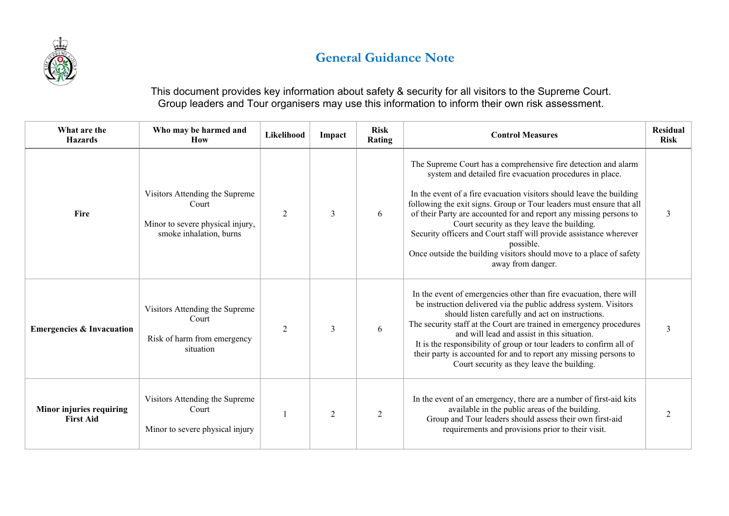

## **General Guidance Note**

This document provides key information about safety & security for all visitors to the Supreme Court. Group leaders and Tour organisers may use this information to inform their own risk assessment.

| What are the<br><b>Hazards</b>               | Who may be harmed and<br><b>How</b>                                                                    | Likelihood     | Impact         | <b>Risk</b><br>Rating | <b>Control Measures</b>                                                                                                                                                                                                                                                                                                                                                                                                                                                                                                                                                       | <b>Residual</b><br><b>Risk</b> |
|----------------------------------------------|--------------------------------------------------------------------------------------------------------|----------------|----------------|-----------------------|-------------------------------------------------------------------------------------------------------------------------------------------------------------------------------------------------------------------------------------------------------------------------------------------------------------------------------------------------------------------------------------------------------------------------------------------------------------------------------------------------------------------------------------------------------------------------------|--------------------------------|
| Fire                                         | Visitors Attending the Supreme<br>Court<br>Minor to severe physical injury,<br>smoke inhalation, burns | $\overline{2}$ | 3              | 6                     | The Supreme Court has a comprehensive fire detection and alarm<br>system and detailed fire evacuation procedures in place.<br>In the event of a fire evacuation visitors should leave the building<br>following the exit signs. Group or Tour leaders must ensure that all<br>of their Party are accounted for and report any missing persons to<br>Court security as they leave the building.<br>Security officers and Court staff will provide assistance wherever<br>possible.<br>Once outside the building visitors should move to a place of safety<br>away from danger. | 3                              |
| <b>Emergencies &amp; Invacuation</b>         | Visitors Attending the Supreme<br>Court<br>Risk of harm from emergency<br>situation                    | $\overline{2}$ | 3              | 6                     | In the event of emergencies other than fire evacuation, there will<br>be instruction delivered via the public address system. Visitors<br>should listen carefully and act on instructions.<br>The security staff at the Court are trained in emergency procedures<br>and will lead and assist in this situation.<br>It is the responsibility of group or tour leaders to confirm all of<br>their party is accounted for and to report any missing persons to<br>Court security as they leave the building.                                                                    | $\mathfrak{Z}$                 |
| Minor injuries requiring<br><b>First Aid</b> | Visitors Attending the Supreme<br>Court<br>Minor to severe physical injury                             |                | $\mathfrak{D}$ | 2                     | In the event of an emergency, there are a number of first-aid kits<br>available in the public areas of the building.<br>Group and Tour leaders should assess their own first-aid<br>requirements and provisions prior to their visit.                                                                                                                                                                                                                                                                                                                                         | $\mathfrak{D}$                 |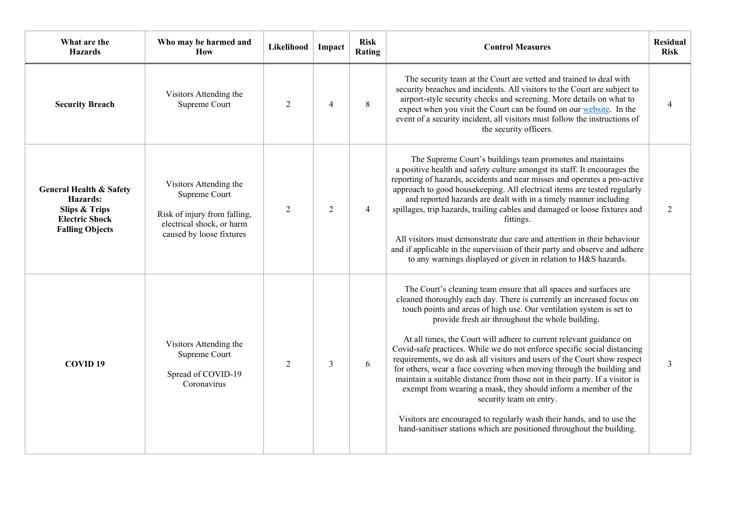| What are the<br><b>Hazards</b>                                                                                                | Who may be harmed and<br>How                                                                                                     | Likelihood     | Impact         | <b>Risk</b><br>Rating | <b>Control Measures</b>                                                                                                                                                                                                                                                                                                                                                                                                                                                                                                                                                                                                                                                                                                                                                                                                                                                                                      | <b>Residual</b><br><b>Risk</b> |
|-------------------------------------------------------------------------------------------------------------------------------|----------------------------------------------------------------------------------------------------------------------------------|----------------|----------------|-----------------------|--------------------------------------------------------------------------------------------------------------------------------------------------------------------------------------------------------------------------------------------------------------------------------------------------------------------------------------------------------------------------------------------------------------------------------------------------------------------------------------------------------------------------------------------------------------------------------------------------------------------------------------------------------------------------------------------------------------------------------------------------------------------------------------------------------------------------------------------------------------------------------------------------------------|--------------------------------|
| <b>Security Breach</b>                                                                                                        | Visitors Attending the<br>Supreme Court                                                                                          | $\overline{2}$ | $\overline{4}$ | 8                     | The security team at the Court are vetted and trained to deal with<br>security breaches and incidents. All visitors to the Court are subject to<br>airport-style security checks and screening. More details on what to<br>expect when you visit the Court can be found on our website. In the<br>event of a security incident, all visitors must follow the instructions of<br>the security officers.                                                                                                                                                                                                                                                                                                                                                                                                                                                                                                       |                                |
| <b>General Health &amp; Safety</b><br>Hazards:<br><b>Slips &amp; Trips</b><br><b>Electric Shock</b><br><b>Falling Objects</b> | Visitors Attending the<br>Supreme Court<br>Risk of injury from falling,<br>electrical shock, or harm<br>caused by loose fixtures | $\overline{2}$ | $\overline{2}$ | $\overline{4}$        | The Supreme Court's buildings team promotes and maintains<br>a positive health and safety culture amongst its staff. It encourages the<br>reporting of hazards, accidents and near misses and operates a pro-active<br>approach to good housekeeping. All electrical items are tested regularly<br>and reported hazards are dealt with in a timely manner including<br>spillages, trip hazards, trailing cables and damaged or loose fixtures and<br>fittings.<br>All visitors must demonstrate due care and attention in their behaviour<br>and if applicable in the supervision of their party and observe and adhere<br>to any warnings displayed or given in relation to H&S hazards.                                                                                                                                                                                                                    | $\overline{2}$                 |
| COVID <sub>19</sub>                                                                                                           | Visitors Attending the<br>Supreme Court<br>Spread of COVID-19<br>Coronavirus                                                     | $\overline{2}$ | $\mathfrak{Z}$ | 6                     | The Court's cleaning team ensure that all spaces and surfaces are<br>cleaned thoroughly each day. There is currently an increased focus on<br>touch points and areas of high use. Our ventilation system is set to<br>provide fresh air throughout the whole building.<br>At all times, the Court will adhere to current relevant guidance on<br>Covid-safe practices. While we do not enforce specific social distancing<br>requirements, we do ask all visitors and users of the Court show respect<br>for others, wear a face covering when moving through the building and<br>maintain a suitable distance from those not in their party. If a visitor is<br>exempt from wearing a mask, they should inform a member of the<br>security team on entry.<br>Visitors are encouraged to regularly wash their hands, and to use the<br>hand-sanitiser stations which are positioned throughout the building. | $\overline{3}$                 |